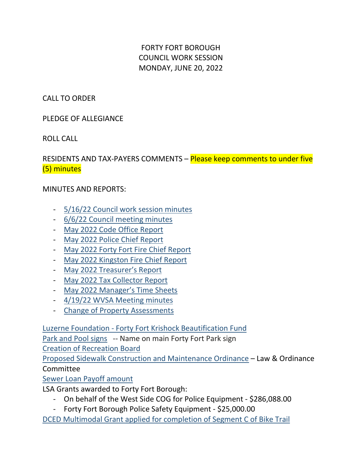FORTY FORT BOROUGH COUNCIL WORK SESSION MONDAY, JUNE 20, 2022

CALL TO ORDER

PLEDGE OF ALLEGIANCE

ROLL CALL

RESIDENTS AND TAX-PAYERS COMMENTS – Please keep comments to under five (5) minutes

## MINUTES AND REPORTS:

- [5/16/22 Council work session minutes](https://fortyfort.sharepoint.com/:w:/g/Forty%20Fort%20Council%20Dashboard/EeI_S4Cdw9RFpeSfGe0N2voB7RsF_ikFDcSvl7_v3lP7lA)
- [6/6/22 Council meeting minutes](https://fortyfort.sharepoint.com/:w:/g/Forty%20Fort%20Council%20Dashboard/EcZMpZUIlZlNgapp5Wh1P-sBPYxzjCmXQKVMHWfHNcCC_A)
- [May 2022 Code Office Report](https://fortyfort.sharepoint.com/:b:/g/Forty%20Fort%20Council%20Dashboard/EdAiie_TcEpGnnThWmf52eEBjNZYLWCNlSkknXuZfVRWhw)
- [May 2022 Police Chief Report](https://fortyfort.sharepoint.com/:b:/g/Forty%20Fort%20Council%20Dashboard/EW8pPQVciJlPu-CmAEkiXE0Bngj9Pw1AEx6HdzZz7l9upg)
- [May 2022 Forty Fort Fire Chief Report](https://fortyfort.sharepoint.com/:b:/g/Forty%20Fort%20Council%20Dashboard/EU7iGkJNVOVDlWnTny8FPfUBBGg_x5hspNXIdfZqc_3ByA)
- [May 2022 Kingston Fire Chief Report](https://fortyfort.sharepoint.com/:b:/g/Forty%20Fort%20Council%20Dashboard/Ef6NG5TGS41Ih9s2erBjRTkBeFt5blpB4_6GNlocj0e7LA)
- [May 2022 Treasurer's Report](https://fortyfort.sharepoint.com/:b:/g/Forty%20Fort%20Council%20Dashboard/EatYXmjEeBVMg7NV6xljUzYBgygKfzVOlkx1HU5iIxV9CA)
- [May 2022 Tax Collector Report](https://fortyfort.sharepoint.com/:b:/g/Forty%20Fort%20Council%20Dashboard/ESKr0-wsXyhFj2iQKC8R0xsBAMAXLM8btYEvQh7AJSIamw)
- [May 2022 Manager's Time Sheets](https://fortyfort.sharepoint.com/:b:/g/Forty%20Fort%20Council%20Dashboard/EZ11GTlj7GBJpq3UXIjS_50BxwlQXPJAGylcF0w1eUU_6A)
- [4/19/22 WVSA Meeting minutes](https://fortyfort.sharepoint.com/:b:/g/Forty%20Fort%20Council%20Dashboard/EdQQF347_IpMuaH5CcdyyqIBJovXVsOLbxxPeliicjSnuQ)
- [Change of Property Assessments](https://fortyfort.sharepoint.com/:b:/g/Forty%20Fort%20Council%20Dashboard/EeTqIzpppMVJrREoBgqNgK0BVqmm1SI4HnqcOtnwohgmPg)

Luzerne Foundation - [Forty Fort Krishock Beautification Fund](https://fortyfort.sharepoint.com/:w:/g/Forty%20Fort%20Council%20Dashboard/EbGuA6P83ZpEvW0W1arYGI4Bun1jQVmL7M4T1SvQEuAeJA)

[Park and Pool signs](https://fortyfort.sharepoint.com/:b:/g/Forty%20Fort%20Council%20Dashboard/EcbJbjRllpVIqncPCpSbI3sB4C9rdpl0OXY5g2cZKWMRgA) -- Name on main Forty Fort Park sign

[Creation of Recreation Board](https://fortyfort.sharepoint.com/:b:/g/Forty%20Fort%20Council%20Dashboard/EWVRHfJjnARIv2Bx8q0C4LABCQ12XdeVeli5YddACqxOhg)

[Proposed Sidewalk Construction and Maintenance Ordinance](https://fortyfort.sharepoint.com/:w:/g/Forty%20Fort%20Council%20Dashboard/ERtkkMeLcP9Otsu3HHCY86cBoKW_k1V83OXzcaEuB867GA) – Law & Ordinance Committee

[Sewer Loan Payoff amount](https://fortyfort.sharepoint.com/:b:/g/Forty%20Fort%20Council%20Dashboard/EeUbRn4P-ABLndK8WMKbbvYBD2Mm5BTJS02JdF4VEyKCHg)

LSA Grants awarded to Forty Fort Borough:

- On behalf of the West Side COG for Police Equipment \$286,088.00
- Forty Fort Borough Police Safety Equipment \$25,000.00

[DCED Multimodal Grant applied for completion of Segment C of Bike Trail](https://fortyfort.sharepoint.com/:b:/g/Forty%20Fort%20Council%20Dashboard/Ed5IFZOVYXdNockLiltQOR4BOrFVwsMETu8zive6U7ot7g)